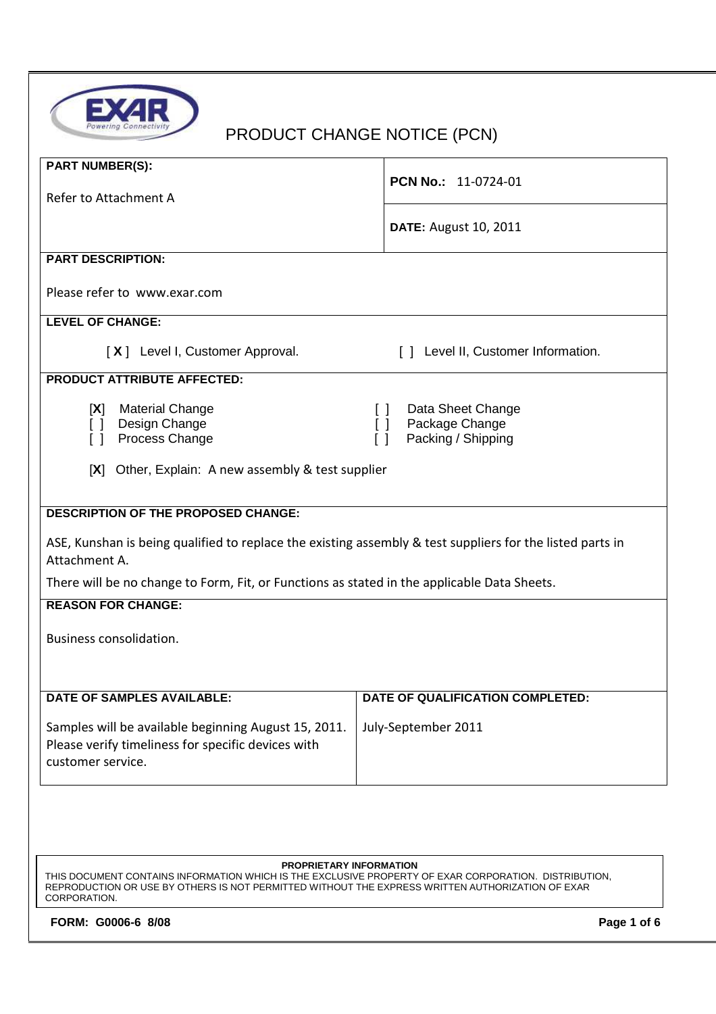

# PRODUCT CHANGE NOTICE (PCN)

| <b>PCN No.: 11-0724-01</b>                                                                                |  |  |  |  |  |  |
|-----------------------------------------------------------------------------------------------------------|--|--|--|--|--|--|
| <b>DATE: August 10, 2011</b>                                                                              |  |  |  |  |  |  |
|                                                                                                           |  |  |  |  |  |  |
|                                                                                                           |  |  |  |  |  |  |
|                                                                                                           |  |  |  |  |  |  |
| [ ] Level II, Customer Information.                                                                       |  |  |  |  |  |  |
|                                                                                                           |  |  |  |  |  |  |
| Data Sheet Change<br>$\Box$<br>Package Change<br>[]<br>Packing / Shipping<br>$\Box$                       |  |  |  |  |  |  |
| Other, Explain: A new assembly & test supplier                                                            |  |  |  |  |  |  |
|                                                                                                           |  |  |  |  |  |  |
| ASE, Kunshan is being qualified to replace the existing assembly & test suppliers for the listed parts in |  |  |  |  |  |  |
| There will be no change to Form, Fit, or Functions as stated in the applicable Data Sheets.               |  |  |  |  |  |  |
|                                                                                                           |  |  |  |  |  |  |
| Business consolidation.                                                                                   |  |  |  |  |  |  |
| DATE OF QUALIFICATION COMPLETED:                                                                          |  |  |  |  |  |  |
| July-September 2011                                                                                       |  |  |  |  |  |  |
|                                                                                                           |  |  |  |  |  |  |

#### **PROPRIETARY INFORMATION**

THIS DOCUMENT CONTAINS INFORMATION WHICH IS THE EXCLUSIVE PROPERTY OF EXAR CORPORATION. DISTRIBUTION, REPRODUCTION OR USE BY OTHERS IS NOT PERMITTED WITHOUT THE EXPRESS WRITTEN AUTHORIZATION OF EXAR CORPORATION.

FORM: G0006-6 8/08 **Page 1 of 6 Page 1 of 6**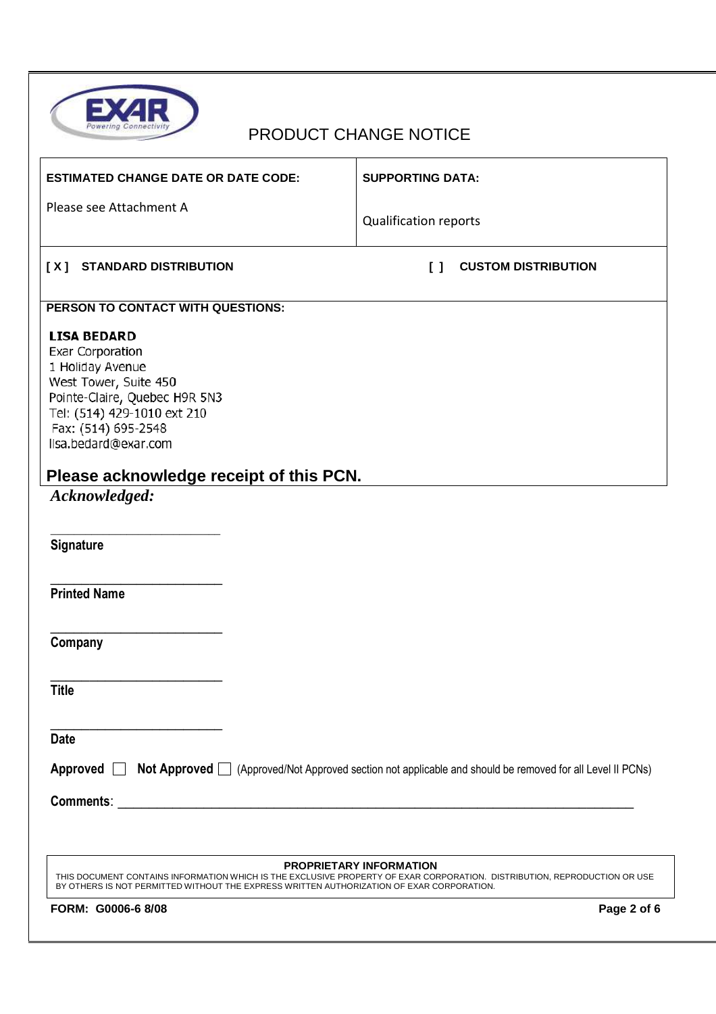

| <b>ESTIMATED CHANGE DATE OR DATE CODE:</b>                                                                                                                                                                                                               | <b>SUPPORTING DATA:</b>                                               |  |  |  |  |  |
|----------------------------------------------------------------------------------------------------------------------------------------------------------------------------------------------------------------------------------------------------------|-----------------------------------------------------------------------|--|--|--|--|--|
| Please see Attachment A                                                                                                                                                                                                                                  | <b>Qualification reports</b>                                          |  |  |  |  |  |
| [X] STANDARD DISTRIBUTION                                                                                                                                                                                                                                | <b>CUSTOM DISTRIBUTION</b><br>$\begin{smallmatrix}1\end{smallmatrix}$ |  |  |  |  |  |
| PERSON TO CONTACT WITH QUESTIONS:                                                                                                                                                                                                                        |                                                                       |  |  |  |  |  |
| <b>LISA BEDARD</b><br><b>Exar Corporation</b><br>1 Holiday Avenue<br>West Tower, Suite 450<br>Pointe-Claire, Quebec H9R 5N3<br>Tel: (514) 429-1010 ext 210<br>Fax: (514) 695-2548<br>lisa.bedard@exar.com                                                |                                                                       |  |  |  |  |  |
| Please acknowledge receipt of this PCN.                                                                                                                                                                                                                  |                                                                       |  |  |  |  |  |
| Acknowledged:                                                                                                                                                                                                                                            |                                                                       |  |  |  |  |  |
| Signature                                                                                                                                                                                                                                                |                                                                       |  |  |  |  |  |
| <b>Printed Name</b>                                                                                                                                                                                                                                      |                                                                       |  |  |  |  |  |
| Company                                                                                                                                                                                                                                                  |                                                                       |  |  |  |  |  |
| <b>Title</b>                                                                                                                                                                                                                                             |                                                                       |  |  |  |  |  |
| <b>Date</b>                                                                                                                                                                                                                                              |                                                                       |  |  |  |  |  |
| Approved <b>Not Approved</b> (Approved/Not Approved section not applicable and should be removed for all Level II PCNs)                                                                                                                                  |                                                                       |  |  |  |  |  |
|                                                                                                                                                                                                                                                          |                                                                       |  |  |  |  |  |
|                                                                                                                                                                                                                                                          |                                                                       |  |  |  |  |  |
| <b>PROPRIETARY INFORMATION</b><br>THIS DOCUMENT CONTAINS INFORMATION WHICH IS THE EXCLUSIVE PROPERTY OF EXAR CORPORATION. DISTRIBUTION, REPRODUCTION OR USE<br>BY OTHERS IS NOT PERMITTED WITHOUT THE EXPRESS WRITTEN AUTHORIZATION OF EXAR CORPORATION. |                                                                       |  |  |  |  |  |
| FORM: G0006-6 8/08                                                                                                                                                                                                                                       | Page 2 of 6                                                           |  |  |  |  |  |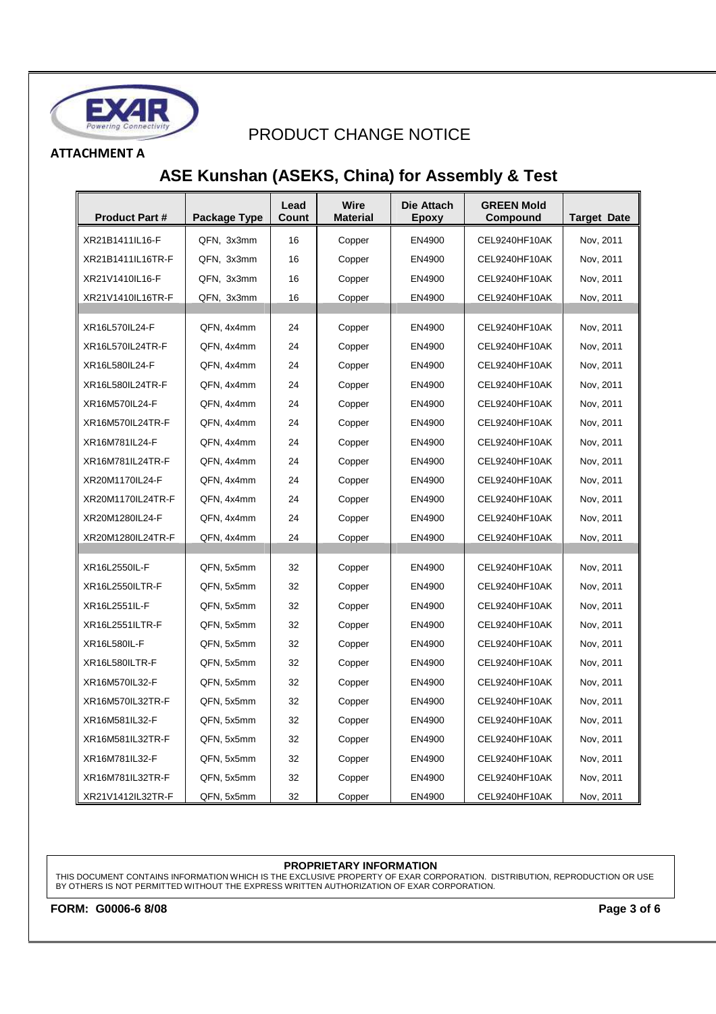

### **ATTACHMENT A**

### **ASE Kunshan (ASEKS, China) for Assembly & Test**

| <b>Product Part#</b> | Package Type | Lead<br>Count | Wire<br>Material | Die Attach<br>Epoxy | <b>GREEN Mold</b><br>Compound | <b>Target Date</b> |
|----------------------|--------------|---------------|------------------|---------------------|-------------------------------|--------------------|
| XR21B1411IL16-F      | QFN, 3x3mm   | 16            | Copper           | EN4900              | CEL9240HF10AK                 | Nov, 2011          |
| XR21B1411IL16TR-F    | QFN, 3x3mm   | 16            | Copper           | EN4900              | CEL9240HF10AK                 | Nov, 2011          |
| XR21V1410IL16-F      | QFN, 3x3mm   | 16            | Copper           | EN4900              | CEL9240HF10AK                 | Nov, 2011          |
| XR21V1410IL16TR-F    | QFN, 3x3mm   | 16            | Copper           | EN4900              | CEL9240HF10AK                 | Nov, 2011          |
|                      |              |               |                  |                     |                               |                    |
| XR16L570IL24-F       | QFN, 4x4mm   | 24            | Copper           | EN4900              | CEL9240HF10AK                 | Nov, 2011          |
| XR16L570IL24TR-F     | QFN, 4x4mm   | 24            | Copper           | EN4900              | CEL9240HF10AK                 | Nov, 2011          |
| XR16L580IL24-F       | QFN, 4x4mm   | 24            | Copper           | EN4900              | CEL9240HF10AK                 | Nov, 2011          |
| XR16L580IL24TR-F     | QFN, 4x4mm   | 24            | Copper           | EN4900              | CEL9240HF10AK                 | Nov, 2011          |
| XR16M570IL24-F       | QFN, 4x4mm   | 24            | Copper           | EN4900              | CEL9240HF10AK                 | Nov, 2011          |
| XR16M570IL24TR-F     | QFN, 4x4mm   | 24            | Copper           | EN4900              | CEL9240HF10AK                 | Nov, 2011          |
| XR16M781IL24-F       | QFN, 4x4mm   | 24            | Copper           | EN4900              | CEL9240HF10AK                 | Nov, 2011          |
| XR16M781IL24TR-F     | QFN, 4x4mm   | 24            | Copper           | EN4900              | CEL9240HF10AK                 | Nov, 2011          |
| XR20M1170IL24-F      | QFN, 4x4mm   | 24            | Copper           | EN4900              | CEL9240HF10AK                 | Nov, 2011          |
| XR20M1170IL24TR-F    | QFN, 4x4mm   | 24            | Copper           | EN4900              | CEL9240HF10AK                 | Nov, 2011          |
| XR20M1280IL24-F      | QFN, 4x4mm   | 24            | Copper           | EN4900              | CEL9240HF10AK                 | Nov, 2011          |
| XR20M1280IL24TR-F    | QFN, 4x4mm   | 24            | Copper           | EN4900              | CEL9240HF10AK                 | Nov, 2011          |
|                      |              |               |                  |                     |                               |                    |
| XR16L2550IL-F        | QFN, 5x5mm   | 32            | Copper           | EN4900              | CEL9240HF10AK                 | Nov, 2011          |
| XR16L2550ILTR-F      | QFN, 5x5mm   | 32            | Copper           | EN4900              | CEL9240HF10AK                 | Nov, 2011          |
| XR16L2551IL-F        | QFN, 5x5mm   | 32            | Copper           | EN4900              | CEL9240HF10AK                 | Nov, 2011          |
| XR16L2551ILTR-F      | QFN, 5x5mm   | 32            | Copper           | EN4900              | CEL9240HF10AK                 | Nov. 2011          |
| <b>XR16L580IL-F</b>  | QFN, 5x5mm   | 32            | Copper           | EN4900              | CEL9240HF10AK                 | Nov, 2011          |
| XR16L580ILTR-F       | QFN, 5x5mm   | 32            | Copper           | EN4900              | CEL9240HF10AK                 | Nov, 2011          |
| XR16M570IL32-F       | QFN, 5x5mm   | 32            | Copper           | EN4900              | CEL9240HF10AK                 | Nov, 2011          |
| XR16M570IL32TR-F     | QFN, 5x5mm   | 32            | Copper           | EN4900              | CEL9240HF10AK                 | Nov, 2011          |
| XR16M581IL32-F       | QFN, 5x5mm   | 32            | Copper           | EN4900              | CEL9240HF10AK                 | Nov, 2011          |
| XR16M581IL32TR-F     | QFN, 5x5mm   | 32            | Copper           | EN4900              | CEL9240HF10AK                 | Nov, 2011          |
| XR16M781IL32-F       | QFN, 5x5mm   | 32            | Copper           | EN4900              | CEL9240HF10AK                 | Nov, 2011          |
| XR16M781IL32TR-F     | QFN, 5x5mm   | 32            | Copper           | EN4900              | CEL9240HF10AK                 | Nov, 2011          |
| XR21V1412IL32TR-F    | QFN, 5x5mm   | 32            | Copper           | EN4900              | CEL9240HF10AK                 | Nov, 2011          |

### **PROPRIETARY INFORMATION**

THIS DOCUMENT CONTAINS INFORMATION WHICH IS THE EXCLUSIVE PROPERTY OF EXAR CORPORATION. DISTRIBUTION, REPRODUCTION OR USE BY OTHERS IS NOT PERMITTED WITHOUT THE EXPRESS WRITTEN AUTHORIZATION OF EXAR CORPORATION.

**FORM: G0006-6 8/08 Page 3 of 6**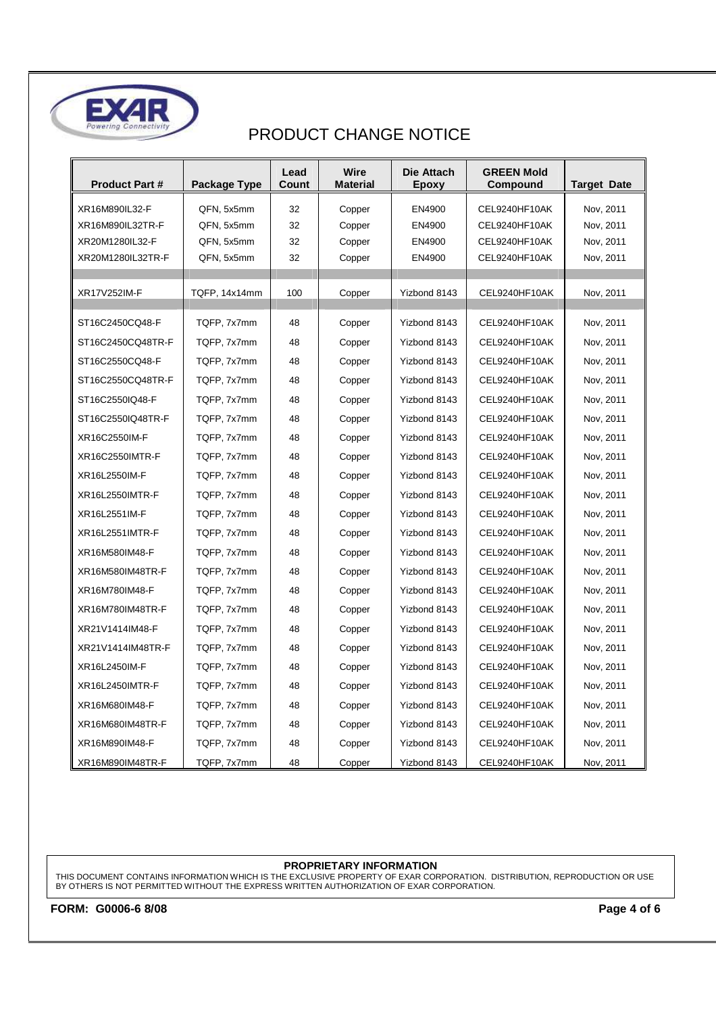

| <b>Product Part #</b> | Package Type  | Lead<br>Count | Wire<br>Material | Die Attach<br><b>Epoxy</b> | <b>GREEN Mold</b><br>Compound | <b>Target Date</b> |
|-----------------------|---------------|---------------|------------------|----------------------------|-------------------------------|--------------------|
| XR16M890IL32-F        | QFN, 5x5mm    | 32            | Copper           | EN4900                     | CEL9240HF10AK                 | Nov, 2011          |
| XR16M890IL32TR-F      | QFN, 5x5mm    | 32            | Copper           | EN4900                     | CEL9240HF10AK                 | Nov, 2011          |
| XR20M1280IL32-F       | QFN, 5x5mm    | 32            | Copper           | EN4900                     | CEL9240HF10AK                 | Nov, 2011          |
| XR20M1280IL32TR-F     | QFN, 5x5mm    | 32            | Copper           | EN4900                     | CEL9240HF10AK                 | Nov, 2011          |
|                       |               |               |                  |                            |                               |                    |
| XR17V252IM-F          | TQFP, 14x14mm | 100           | Copper           | Yizbond 8143               | CEL9240HF10AK                 | Nov, 2011          |
| ST16C2450CQ48-F       | TQFP, 7x7mm   | 48            | Copper           | Yizbond 8143               | CEL9240HF10AK                 | Nov, 2011          |
| ST16C2450CQ48TR-F     | TQFP, 7x7mm   | 48            | Copper           | Yizbond 8143               | CEL9240HF10AK                 | Nov, 2011          |
| ST16C2550CQ48-F       | TQFP, 7x7mm   | 48            | Copper           | Yizbond 8143               | CEL9240HF10AK                 | Nov. 2011          |
| ST16C2550CQ48TR-F     | TQFP, 7x7mm   | 48            | Copper           | Yizbond 8143               | CEL9240HF10AK                 | Nov, 2011          |
| ST16C2550IQ48-F       | TQFP, 7x7mm   | 48            | Copper           | Yizbond 8143               | CEL9240HF10AK                 | Nov. 2011          |
| ST16C2550IQ48TR-F     | TQFP, 7x7mm   | 48            | Copper           | Yizbond 8143               | CEL9240HF10AK                 | Nov. 2011          |
| XR16C2550IM-F         | TQFP, 7x7mm   | 48            | Copper           | Yizbond 8143               | CEL9240HF10AK                 | Nov, 2011          |
| XR16C2550IMTR-F       | TQFP, 7x7mm   | 48            | Copper           | Yizbond 8143               | CEL9240HF10AK                 | Nov. 2011          |
| XR16L2550IM-F         | TQFP, 7x7mm   | 48            | Copper           | Yizbond 8143               | CEL9240HF10AK                 | Nov. 2011          |
| XR16L2550IMTR-F       | TQFP, 7x7mm   | 48            | Copper           | Yizbond 8143               | CEL9240HF10AK                 | Nov, 2011          |
| XR16L2551IM-F         | TQFP, 7x7mm   | 48            | Copper           | Yizbond 8143               | CEL9240HF10AK                 | Nov. 2011          |
| XR16L2551IMTR-F       | TQFP, 7x7mm   | 48            | Copper           | Yizbond 8143               | CEL9240HF10AK                 | Nov, 2011          |
| XR16M580IM48-F        | TQFP, 7x7mm   | 48            | Copper           | Yizbond 8143               | CEL9240HF10AK                 | Nov. 2011          |
| XR16M580IM48TR-F      | TQFP, 7x7mm   | 48            | Copper           | Yizbond 8143               | CEL9240HF10AK                 | Nov, 2011          |
| XR16M780IM48-F        | TQFP, 7x7mm   | 48            | Copper           | Yizbond 8143               | CEL9240HF10AK                 | Nov, 2011          |
| XR16M780IM48TR-F      | TQFP, 7x7mm   | 48            | Copper           | Yizbond 8143               | CEL9240HF10AK                 | Nov. 2011          |
| XR21V1414IM48-F       | TQFP, 7x7mm   | 48            | Copper           | Yizbond 8143               | CEL9240HF10AK                 | Nov, 2011          |
| XR21V1414IM48TR-F     | TQFP, 7x7mm   | 48            | Copper           | Yizbond 8143               | CEL9240HF10AK                 | Nov, 2011          |
| XR16L2450IM-F         | TQFP, 7x7mm   | 48            | Copper           | Yizbond 8143               | CEL9240HF10AK                 | Nov, 2011          |
| XR16L2450IMTR-F       | TQFP, 7x7mm   | 48            | Copper           | Yizbond 8143               | CEL9240HF10AK                 | Nov, 2011          |
| XR16M680IM48-F        | TQFP, 7x7mm   | 48            | Copper           | Yizbond 8143               | CEL9240HF10AK                 | Nov, 2011          |
| XR16M680IM48TR-F      | TQFP, 7x7mm   | 48            | Copper           | Yizbond 8143               | CEL9240HF10AK                 | Nov, 2011          |
| XR16M890IM48-F        | TQFP, 7x7mm   | 48            | Copper           | Yizbond 8143               | CEL9240HF10AK                 | Nov, 2011          |
| XR16M890IM48TR-F      | TQFP, 7x7mm   | 48            | Copper           | Yizbond 8143               | CEL9240HF10AK                 | Nov, 2011          |

### **PROPRIETARY INFORMATION**

THIS DOCUMENT CONTAINS INFORMATION WHICH IS THE EXCLUSIVE PROPERTY OF EXAR CORPORATION. DISTRIBUTION, REPRODUCTION OR USE BY OTHERS IS NOT PERMITTED WITHOUT THE EXPRESS WRITTEN AUTHORIZATION OF EXAR CORPORATION.

**FORM: G0006-6 8/08 Page 4 of 6**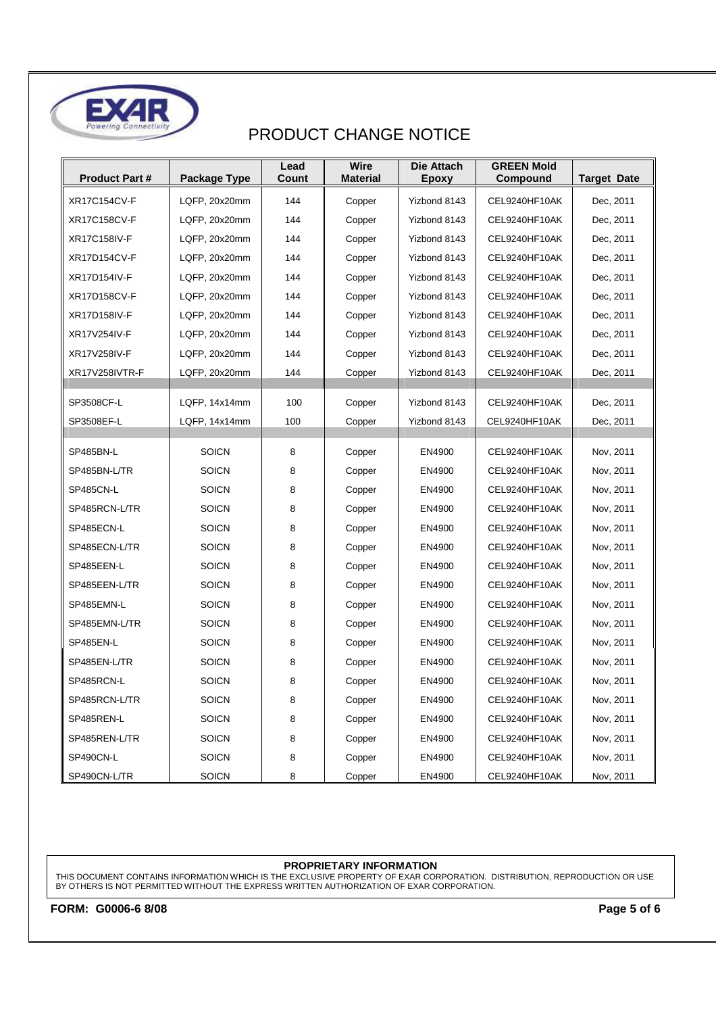

| <b>Product Part#</b> | Package Type  | Lead<br>Count | <b>Wire</b><br><b>Material</b> | Die Attach<br>Epoxy | <b>GREEN Mold</b><br>Compound | <b>Target Date</b> |
|----------------------|---------------|---------------|--------------------------------|---------------------|-------------------------------|--------------------|
| <b>XR17C154CV-F</b>  | LQFP, 20x20mm | 144           | Copper                         | Yizbond 8143        | CEL9240HF10AK                 | Dec, 2011          |
| <b>XR17C158CV-F</b>  | LQFP, 20x20mm | 144           | Copper                         | Yizbond 8143        | CEL9240HF10AK                 | Dec, 2011          |
| XR17C158IV-F         | LQFP, 20x20mm | 144           | Copper                         | Yizbond 8143        | CEL9240HF10AK                 | Dec, 2011          |
| XR17D154CV-F         | LQFP, 20x20mm | 144           | Copper                         | Yizbond 8143        | CEL9240HF10AK                 | Dec, 2011          |
| XR17D154IV-F         | LQFP, 20x20mm | 144           | Copper                         | Yizbond 8143        | CEL9240HF10AK                 | Dec, 2011          |
| <b>XR17D158CV-F</b>  | LQFP, 20x20mm | 144           | Copper                         | Yizbond 8143        | CEL9240HF10AK                 | Dec, 2011          |
| XR17D158IV-F         | LQFP, 20x20mm | 144           | Copper                         | Yizbond 8143        | CEL9240HF10AK                 | Dec, 2011          |
| XR17V254IV-F         | LQFP, 20x20mm | 144           | Copper                         | Yizbond 8143        | CEL9240HF10AK                 | Dec, 2011          |
| <b>XR17V258IV-F</b>  | LQFP, 20x20mm | 144           | Copper                         | Yizbond 8143        | CEL9240HF10AK                 | Dec, 2011          |
| XR17V258IVTR-F       | LQFP, 20x20mm | 144           | Copper                         | Yizbond 8143        | CEL9240HF10AK                 | Dec, 2011          |
| SP3508CF-L           | LQFP, 14x14mm | 100           | Copper                         | Yizbond 8143        | CEL9240HF10AK                 | Dec, 2011          |
| SP3508EF-L           | LQFP, 14x14mm | 100           | Copper                         | Yizbond 8143        | CEL9240HF10AK                 | Dec, 2011          |
|                      |               |               |                                |                     |                               |                    |
| SP485BN-L            | <b>SOICN</b>  | 8             | Copper                         | EN4900              | CEL9240HF10AK                 | Nov, 2011          |
| SP485BN-L/TR         | <b>SOICN</b>  | 8             | Copper                         | EN4900              | CEL9240HF10AK                 | Nov, 2011          |
| SP485CN-L            | <b>SOICN</b>  | 8             | Copper                         | EN4900              | CEL9240HF10AK                 | Nov, 2011          |
| SP485RCN-L/TR        | <b>SOICN</b>  | 8             | Copper                         | EN4900              | CEL9240HF10AK                 | Nov, 2011          |
| SP485ECN-L           | <b>SOICN</b>  | 8             | Copper                         | EN4900              | CEL9240HF10AK                 | Nov, 2011          |
| SP485ECN-L/TR        | <b>SOICN</b>  | 8             | Copper                         | EN4900              | CEL9240HF10AK                 | Nov, 2011          |
| SP485EEN-L           | <b>SOICN</b>  | 8             | Copper                         | EN4900              | CEL9240HF10AK                 | Nov, 2011          |
| SP485EEN-L/TR        | <b>SOICN</b>  | 8             | Copper                         | EN4900              | CEL9240HF10AK                 | Nov, 2011          |
| SP485EMN-L           | <b>SOICN</b>  | 8             | Copper                         | EN4900              | CEL9240HF10AK                 | Nov, 2011          |
| SP485EMN-L/TR        | <b>SOICN</b>  | 8             | Copper                         | EN4900              | CEL9240HF10AK                 | Nov. 2011          |
| SP485EN-L            | <b>SOICN</b>  | 8             | Copper                         | EN4900              | CEL9240HF10AK                 | Nov, 2011          |
| SP485EN-L/TR         | <b>SOICN</b>  | 8             | Copper                         | EN4900              | CEL9240HF10AK                 | Nov, 2011          |
| SP485RCN-L           | <b>SOICN</b>  | 8             | Copper                         | EN4900              | CEL9240HF10AK                 | Nov. 2011          |
| SP485RCN-L/TR        | <b>SOICN</b>  | 8             | Copper                         | EN4900              | CEL9240HF10AK                 | Nov, 2011          |
| SP485REN-L           | <b>SOICN</b>  | 8             | Copper                         | EN4900              | CEL9240HF10AK                 | Nov, 2011          |
| SP485REN-L/TR        | <b>SOICN</b>  | 8             | Copper                         | EN4900              | CEL9240HF10AK                 | Nov. 2011          |
| SP490CN-L            | <b>SOICN</b>  | 8             | Copper                         | EN4900              | CEL9240HF10AK                 | Nov, 2011          |
| SP490CN-L/TR         | <b>SOICN</b>  | 8             | Copper                         | EN4900              | CEL9240HF10AK                 | Nov, 2011          |

### **PROPRIETARY INFORMATION**

THIS DOCUMENT CONTAINS INFORMATION WHICH IS THE EXCLUSIVE PROPERTY OF EXAR CORPORATION. DISTRIBUTION, REPRODUCTION OR USE BY OTHERS IS NOT PERMITTED WITHOUT THE EXPRESS WRITTEN AUTHORIZATION OF EXAR CORPORATION.

**FORM: G0006-6 8/08 Page 5 of 6**